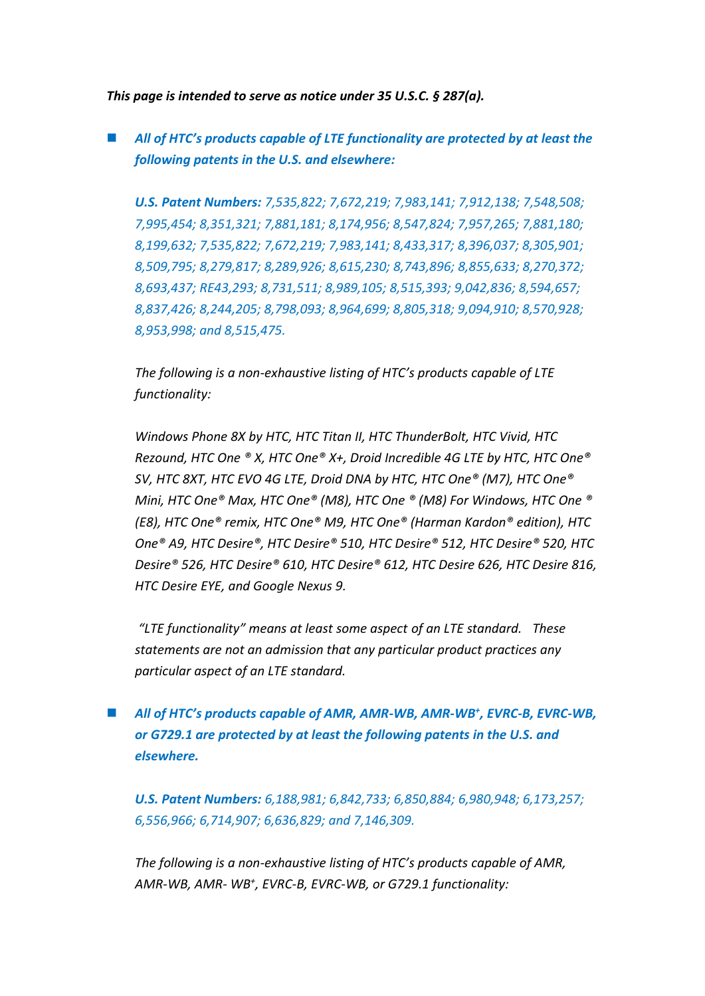*This page is intended to serve as notice under 35 U.S.C. § 287(a).*

 *All of HTC's products capable of LTE functionality are protected by at least the following patents in the U.S. and elsewhere:*

*U.S. Patent Numbers: 7,535,822; 7,672,219; 7,983,141; 7,912,138; 7,548,508; 7,995,454; 8,351,321; 7,881,181; 8,174,956; 8,547,824; 7,957,265; 7,881,180; 8,199,632; 7,535,822; 7,672,219; 7,983,141; 8,433,317; 8,396,037; 8,305,901; 8,509,795; 8,279,817; 8,289,926; 8,615,230; 8,743,896; 8,855,633; 8,270,372; 8,693,437; RE43,293; 8,731,511; 8,989,105; 8,515,393; 9,042,836; 8,594,657; 8,837,426; 8,244,205; 8,798,093; 8,964,699; 8,805,318; 9,094,910; 8,570,928; 8,953,998; and 8,515,475.*

*The following is a non-exhaustive listing of HTC's products capable of LTE functionality:* 

*Windows Phone 8X by HTC, HTC Titan II, HTC ThunderBolt, HTC Vivid, HTC Rezound, HTC One ® X, HTC One® X+, Droid Incredible 4G LTE by HTC, HTC One® SV, HTC 8XT, HTC EVO 4G LTE, Droid DNA by HTC, HTC One® (M7), HTC One® Mini, HTC One® Max, HTC One® (M8), HTC One ® (M8) For Windows, HTC One ® (E8), HTC One® remix, HTC One® M9, HTC One® (Harman Kardon® edition), HTC One® A9, HTC Desire®, HTC Desire® 510, HTC Desire® 512, HTC Desire® 520, HTC Desire® 526, HTC Desire® 610, HTC Desire® 612, HTC Desire 626, HTC Desire 816, HTC Desire EYE, and Google Nexus 9.*

*"LTE functionality" means at least some aspect of an LTE standard. These statements are not an admission that any particular product practices any particular aspect of an LTE standard.*

■ *All of HTC*<sup>*'s products capable of AMR, AMR-WB, AMR-WB<sup>+</sup>, EVRC-B, EVRC-WB,*</sup> *or G729.1 are protected by at least the following patents in the U.S. and elsewhere.*

*U.S. Patent Numbers: 6,188,981; 6,842,733; 6,850,884; 6,980,948; 6,173,257; 6,556,966; 6,714,907; 6,636,829; and 7,146,309.*

*The following is a non-exhaustive listing of HTC's products capable of AMR, AMR-WB, AMR- WB<sup>+</sup> , EVRC-B, EVRC-WB, or G729.1 functionality:*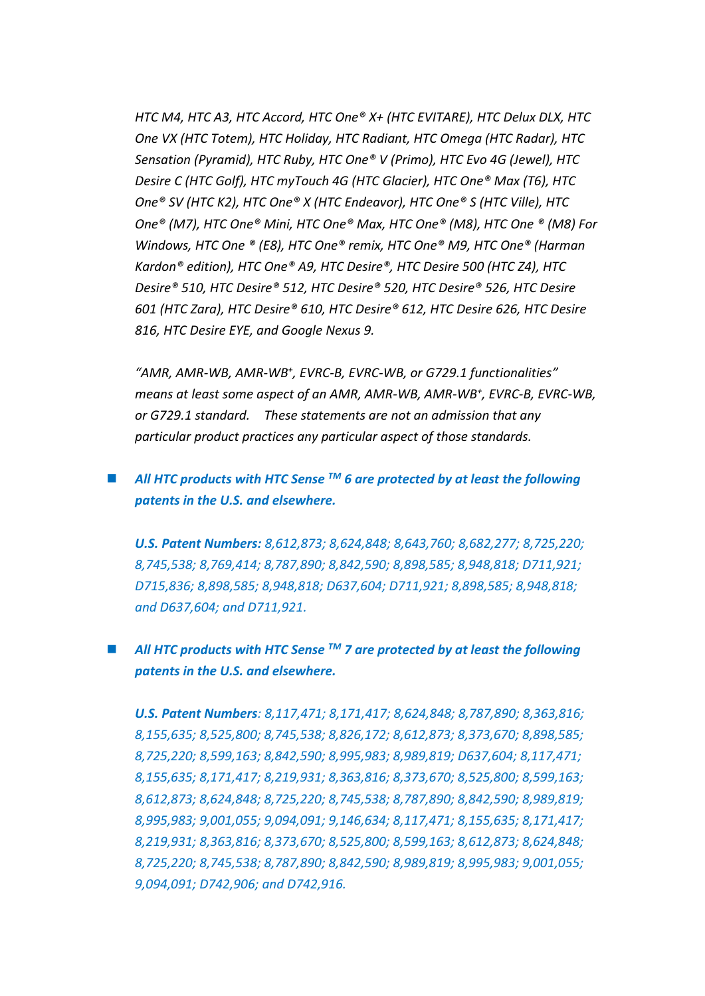*HTC M4, HTC A3, HTC Accord, HTC One® X+ (HTC EVITARE), HTC Delux DLX, HTC One VX (HTC Totem), HTC Holiday, HTC Radiant, HTC Omega (HTC Radar), HTC Sensation (Pyramid), HTC Ruby, HTC One® V (Primo), HTC Evo 4G (Jewel), HTC Desire C (HTC Golf), HTC myTouch 4G (HTC Glacier), HTC One® Max (T6), HTC One® SV (HTC K2), HTC One® X (HTC Endeavor), HTC One® S (HTC Ville), HTC One® (M7), HTC One® Mini, HTC One® Max, HTC One® (M8), HTC One ® (M8) For Windows, HTC One ® (E8), HTC One® remix, HTC One® M9, HTC One® (Harman Kardon® edition), HTC One® A9, HTC Desire®, HTC Desire 500 (HTC Z4), HTC Desire® 510, HTC Desire® 512, HTC Desire® 520, HTC Desire® 526, HTC Desire 601 (HTC Zara), HTC Desire® 610, HTC Desire® 612, HTC Desire 626, HTC Desire 816, HTC Desire EYE, and Google Nexus 9.*

*"AMR, AMR-WB, AMR-WB<sup>+</sup> , EVRC-B, EVRC-WB, or G729.1 functionalities" means at least some aspect of an AMR, AMR-WB, AMR-WB<sup>+</sup> , EVRC-B, EVRC-WB, or G729.1 standard. These statements are not an admission that any particular product practices any particular aspect of those standards.*

## *All HTC products with HTC Sense TM 6 are protected by at least the following patents in the U.S. and elsewhere.*

*U.S. Patent Numbers: 8,612,873; 8,624,848; 8,643,760; 8,682,277; 8,725,220; 8,745,538; 8,769,414; 8,787,890; 8,842,590; 8,898,585; 8,948,818; D711,921; D715,836; 8,898,585; 8,948,818; D637,604; D711,921; 8,898,585; 8,948,818; and D637,604; and D711,921.*

## *All HTC products with HTC Sense TM 7 are protected by at least the following patents in the U.S. and elsewhere.*

*U.S. Patent Numbers: 8,117,471; 8,171,417; 8,624,848; 8,787,890; 8,363,816; 8,155,635; 8,525,800; 8,745,538; 8,826,172; 8,612,873; 8,373,670; 8,898,585; 8,725,220; 8,599,163; 8,842,590; 8,995,983; 8,989,819; D637,604; 8,117,471; 8,155,635; 8,171,417; 8,219,931; 8,363,816; 8,373,670; 8,525,800; 8,599,163; 8,612,873; 8,624,848; 8,725,220; 8,745,538; 8,787,890; 8,842,590; 8,989,819; 8,995,983; 9,001,055; 9,094,091; 9,146,634; 8,117,471; 8,155,635; 8,171,417; 8,219,931; 8,363,816; 8,373,670; 8,525,800; 8,599,163; 8,612,873; 8,624,848; 8,725,220; 8,745,538; 8,787,890; 8,842,590; 8,989,819; 8,995,983; 9,001,055; 9,094,091; D742,906; and D742,916.*